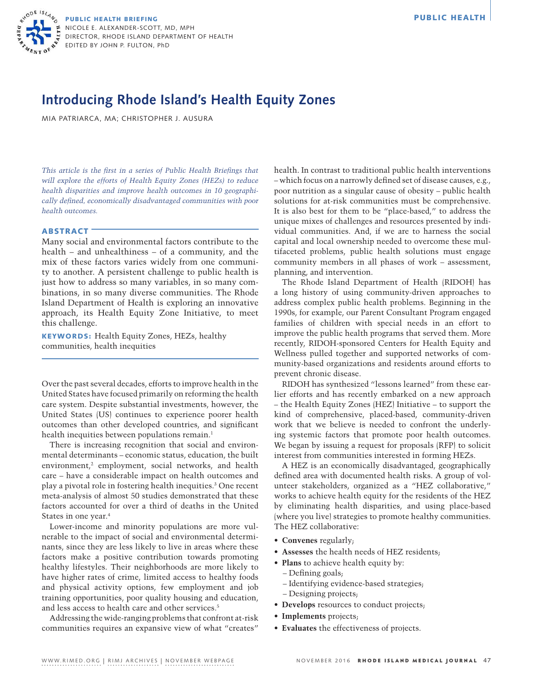

PUBLIC HEALTH BRIEFING **PUBLIC HEALTH** NICOLE E. ALEXANDER-SCOTT, MD, MPH DIRECTOR, RHODE ISLAND DEPARTMENT OF HEALTH EDITED BY JOHN P. FULTON, PhD

## **Introducing Rhode Island's Health Equity Zones**

MIA PATRIARCA, MA; CHRISTOPHER J. AUSURA

*This article is the first in a series of Public Health Briefings that will explore the efforts of Health Equity Zones (HEZs) to reduce health disparities and improve health outcomes in 10 geographically defined, economically disadvantaged communities with poor health outcomes.*

## **ABSTRACT**

Many social and environmental factors contribute to the health – and unhealthiness – of a community, and the mix of these factors varies widely from one community to another. A persistent challenge to public health is just how to address so many variables, in so many combinations, in so many diverse communities. The Rhode Island Department of Health is exploring an innovative approach, its Health Equity Zone Initiative, to meet this challenge.

KEYWORDS: Health Equity Zones, HEZs, healthy communities, health inequities

Over the past several decades, efforts to improve health in the United States have focused primarily on reforming the health care system. Despite substantial investments, however, the United States (US) continues to experience poorer health outcomes than other developed countries, and significant health inequities between populations remain.<sup>1</sup>

There is increasing recognition that social and environmental determinants – economic status, education, the built  $environment<sub>i</sub><sup>2</sup>$  employment, social networks, and health care – have a considerable impact on health outcomes and play a pivotal role in fostering health inequities.3 One recent meta-analysis of almost 50 studies demonstrated that these factors accounted for over a third of deaths in the United States in one year.4

Lower-income and minority populations are more vulnerable to the impact of social and environmental determinants, since they are less likely to live in areas where these factors make a positive contribution towards promoting healthy lifestyles. Their neighborhoods are more likely to have higher rates of crime, limited access to healthy foods and physical activity options, few employment and job training opportunities, poor quality housing and education, and less access to health care and other services.<sup>5</sup>

Addressing the wide-ranging problems that confront at-risk communities requires an expansive view of what "creates" health. In contrast to traditional public health interventions – which focus on a narrowly defined set of disease causes, e.g., poor nutrition as a singular cause of obesity – public health solutions for at-risk communities must be comprehensive. It is also best for them to be "place-based," to address the unique mixes of challenges and resources presented by individual communities. And, if we are to harness the social capital and local ownership needed to overcome these multifaceted problems, public health solutions must engage community members in all phases of work – assessment, planning, and intervention.

The Rhode Island Department of Health (RIDOH) has a long history of using community-driven approaches to address complex public health problems. Beginning in the 1990s, for example, our Parent Consultant Program engaged families of children with special needs in an effort to improve the public health programs that served them. More recently, RIDOH-sponsored Centers for Health Equity and Wellness pulled together and supported networks of community-based organizations and residents around efforts to prevent chronic disease.

RIDOH has synthesized "lessons learned" from these earlier efforts and has recently embarked on a new approach – the Health Equity Zones (HEZ) Initiative – to support the kind of comprehensive, placed-based, community-driven work that we believe is needed to confront the underlying systemic factors that promote poor health outcomes. We began by issuing a request for proposals (RFP) to solicit interest from communities interested in forming HEZs.

A HEZ is an economically disadvantaged, geographically defined area with documented health risks. A group of volunteer stakeholders, organized as a "HEZ collaborative," works to achieve health equity for the residents of the HEZ by eliminating health disparities, and using place-based (where you live) strategies to promote healthy communities. The HEZ collaborative:

- **• Convenes** regularly;
- **• Assesses** the health needs of HEZ residents;
- **Plans** to achieve health equity by:
	- Defining goals;
	- Identifying evidence-based strategies;
	- Designing projects;
- **• Develops** resources to conduct projects;
- **• Implements** projects;
- **• Evaluates** the effectiveness of projects.